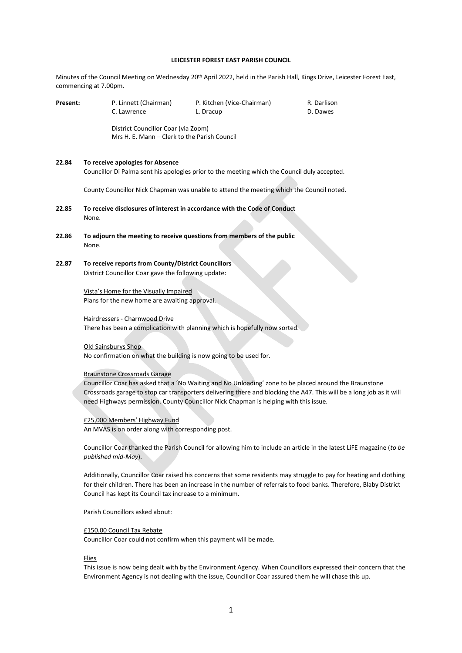#### **LEICESTER FOREST EAST PARISH COUNCIL**

Minutes of the Council Meeting on Wednesday 20th April 2022, held in the Parish Hall, Kings Drive, Leicester Forest East, commencing at 7.00pm.

| Present: | P. Linnett (Chairman)<br>C. Lawrence                                                                                                                                                                                                                                                                                   | P. Kitchen (Vice-Chairman)<br>L. Dracup | R. Darlison<br>D. Dawes |
|----------|------------------------------------------------------------------------------------------------------------------------------------------------------------------------------------------------------------------------------------------------------------------------------------------------------------------------|-----------------------------------------|-------------------------|
|          | District Councillor Coar (via Zoom)<br>Mrs H. E. Mann - Clerk to the Parish Council                                                                                                                                                                                                                                    |                                         |                         |
| 22.84    | To receive apologies for Absence<br>Councillor Di Palma sent his apologies prior to the meeting which the Council duly accepted.                                                                                                                                                                                       |                                         |                         |
|          | County Councillor Nick Chapman was unable to attend the meeting which the Council noted.                                                                                                                                                                                                                               |                                         |                         |
| 22.85    | To receive disclosures of interest in accordance with the Code of Conduct<br>None.                                                                                                                                                                                                                                     |                                         |                         |
| 22.86    | To adjourn the meeting to receive questions from members of the public<br>None.                                                                                                                                                                                                                                        |                                         |                         |
| 22.87    | To receive reports from County/District Councillors<br>District Councillor Coar gave the following update:                                                                                                                                                                                                             |                                         |                         |
|          | Vista's Home for the Visually Impaired<br>Plans for the new home are awaiting approval.                                                                                                                                                                                                                                |                                         |                         |
|          | Hairdressers - Charnwood Drive<br>There has been a complication with planning which is hopefully now sorted.                                                                                                                                                                                                           |                                         |                         |
|          | Old Sainsburys Shop<br>No confirmation on what the building is now going to be used for.                                                                                                                                                                                                                               |                                         |                         |
|          | <b>Braunstone Crossroads Garage</b>                                                                                                                                                                                                                                                                                    |                                         |                         |
|          | Councillor Coar has asked that a 'No Waiting and No Unloading' zone to be placed around the Braunstone<br>Crossroads garage to stop car transporters delivering there and blocking the A47. This will be a long job as it will<br>need Highways permission. County Councillor Nick Chapman is helping with this issue. |                                         |                         |
|          | £25,000 Members' Highway Fund                                                                                                                                                                                                                                                                                          |                                         |                         |

An MVAS is on order along with corresponding post.

Councillor Coar thanked the Parish Council for allowing him to include an article in the latest LiFE magazine (*to be published mid-May*).

Additionally, Councillor Coar raised his concerns that some residents may struggle to pay for heating and clothing for their children. There has been an increase in the number of referrals to food banks. Therefore, Blaby District Council has kept its Council tax increase to a minimum.

Parish Councillors asked about:

## £150.00 Council Tax Rebate

Councillor Coar could not confirm when this payment will be made.

#### **Flies**

This issue is now being dealt with by the Environment Agency. When Councillors expressed their concern that the Environment Agency is not dealing with the issue, Councillor Coar assured them he will chase this up.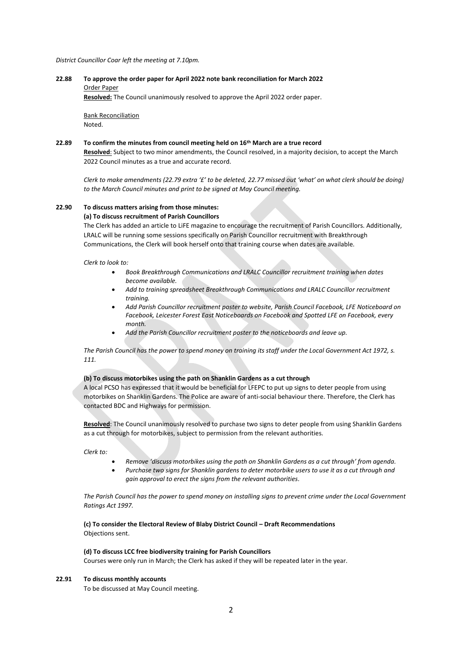#### *District Councillor Coar left the meeting at 7.10pm.*

# **22.88 To approve the order paper for April 2022 note bank reconciliation for March 2022** Order Paper

**Resolved:** The Council unanimously resolved to approve the April 2022 order paper.

Bank Reconciliation Noted.

## **22.89 To confirm the minutes from council meeting held on 16th March are a true record**

**Resolved**: Subject to two minor amendments, the Council resolved, in a majority decision, to accept the March 2022 Council minutes as a true and accurate record.

*Clerk to make amendments (22.79 extra '£' to be deleted, 22.77 missed out 'what' on what clerk should be doing) to the March Council minutes and print to be signed at May Council meeting.*

# **22.90 To discuss matters arising from those minutes:**

**(a) To discuss recruitment of Parish Councillors**

The Clerk has added an article to LiFE magazine to encourage the recruitment of Parish Councillors. Additionally, LRALC will be running some sessions specifically on Parish Councillor recruitment with Breakthrough Communications, the Clerk will book herself onto that training course when dates are available.

*Clerk to look to:*

- *Book Breakthrough Communications and LRALC Councillor recruitment training when dates become available.*
- *Add to training spreadsheet Breakthrough Communications and LRALC Councillor recruitment training.*
- *Add Parish Councillor recruitment poster to website, Parish Council Facebook, LFE Noticeboard on Facebook, Leicester Forest East Noticeboards on Facebook and Spotted LFE on Facebook, every month.*
- *Add the Parish Councillor recruitment poster to the noticeboards and leave up.*

*The Parish Council has the power to spend money on training its staff under the Local Government Act 1972, s. 111.*

#### **(b) To discuss motorbikes using the path on Shanklin Gardens as a cut through**

A local PCSO has expressed that it would be beneficial for LFEPC to put up signs to deter people from using motorbikes on Shanklin Gardens. The Police are aware of anti-social behaviour there. Therefore, the Clerk has contacted BDC and Highways for permission.

**Resolved**: The Council unanimously resolved to purchase two signs to deter people from using Shanklin Gardens as a cut through for motorbikes, subject to permission from the relevant authorities.

*Clerk to:*

- *Remove 'discuss motorbikes using the path on Shanklin Gardens as a cut through' from agenda.*
- *Purchase two signs for Shanklin gardens to deter motorbike users to use it as a cut through and gain approval to erect the signs from the relevant authorities.*

*The Parish Council has the power to spend money on installing signs to prevent crime under the Local Government Ratings Act 1997.*

**(c) To consider the Electoral Review of Blaby District Council – Draft Recommendations** Objections sent.

#### **(d) To discuss LCC free biodiversity training for Parish Councillors**

Courses were only run in March; the Clerk has asked if they will be repeated later in the year.

#### **22.91 To discuss monthly accounts**

To be discussed at May Council meeting.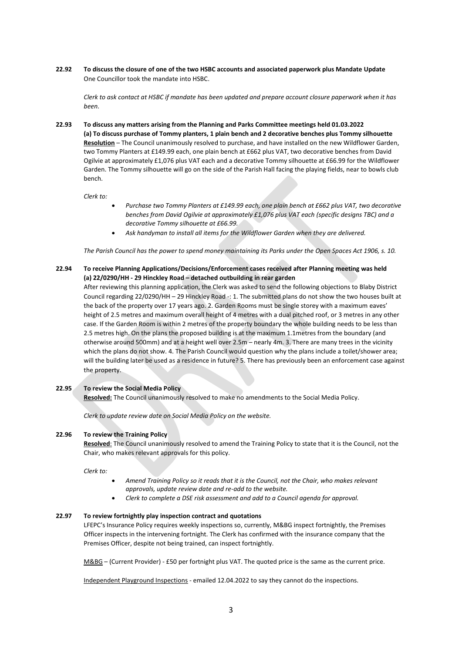**22.92 To discuss the closure of one of the two HSBC accounts and associated paperwork plus Mandate Update** One Councillor took the mandate into HSBC.

*Clerk to ask contact at HSBC if mandate has been updated and prepare account closure paperwork when it has been.*

**22.93 To discuss any matters arising from the Planning and Parks Committee meetings held 01.03.2022 (a) To discuss purchase of Tommy planters, 1 plain bench and 2 decorative benches plus Tommy silhouette Resolution** – The Council unanimously resolved to purchase, and have installed on the new Wildflower Garden, two Tommy Planters at £149.99 each, one plain bench at £662 plus VAT, two decorative benches from David Ogilvie at approximately £1,076 plus VAT each and a decorative Tommy silhouette at £66.99 for the Wildflower Garden. The Tommy silhouette will go on the side of the Parish Hall facing the playing fields, near to bowls club bench.

*Clerk to:*

- *Purchase two Tommy Planters at £149.99 each, one plain bench at £662 plus VAT, two decorative benches from David Ogilvie at approximately £1,076 plus VAT each (specific designs TBC) and a decorative Tommy silhouette at £66.99.*
- *Ask handyman to install all items for the Wildflower Garden when they are delivered.*

*The Parish Council has the power to spend money maintaining its Parks under the Open Spaces Act 1906, s. 10.*

**22.94 To receive Planning Applications/Decisions/Enforcement cases received after Planning meeting was held (a) 22/0290/HH - 29 Hinckley Road – detached outbuilding in rear garden**

After reviewing this planning application, the Clerk was asked to send the following objections to Blaby District Council regarding 22/0290/HH – 29 Hinckley Road -: 1. The submitted plans do not show the two houses built at the back of the property over 17 years ago. 2. Garden Rooms must be single storey with a maximum eaves' height of 2.5 metres and maximum overall height of 4 metres with a dual pitched roof, or 3 metres in any other case. If the Garden Room is within 2 metres of the property boundary the whole building needs to be less than 2.5 metres high. On the plans the proposed building is at the maximum 1.1metres from the boundary (and otherwise around 500mm) and at a height well over 2.5m – nearly 4m. 3. There are many trees in the vicinity which the plans do not show. 4. The Parish Council would question why the plans include a toilet/shower area; will the building later be used as a residence in future? 5. There has previously been an enforcement case against the property.

# **22.95 To review the Social Media Policy**

**Resolved:** The Council unanimously resolved to make no amendments to the Social Media Policy.

*Clerk to update review date on Social Media Policy on the website.*

# **22.96 To review the Training Policy**

**Resolved**: The Council unanimously resolved to amend the Training Policy to state that it is the Council, not the Chair, who makes relevant approvals for this policy.

*Clerk to:*

- *Amend Training Policy so it reads that it is the Council, not the Chair, who makes relevant approvals, update review date and re-add to the website.*
- *Clerk to complete a DSE risk assessment and add to a Council agenda for approval.*

## **22.97 To review fortnightly play inspection contract and quotations**

LFEPC's Insurance Policy requires weekly inspections so, currently, M&BG inspect fortnightly, the Premises Officer inspects in the intervening fortnight. The Clerk has confirmed with the insurance company that the Premises Officer, despite not being trained, can inspect fortnightly.

M&BG – (Current Provider) - £50 per fortnight plus VAT. The quoted price is the same as the current price.

Independent Playground Inspections - emailed 12.04.2022 to say they cannot do the inspections.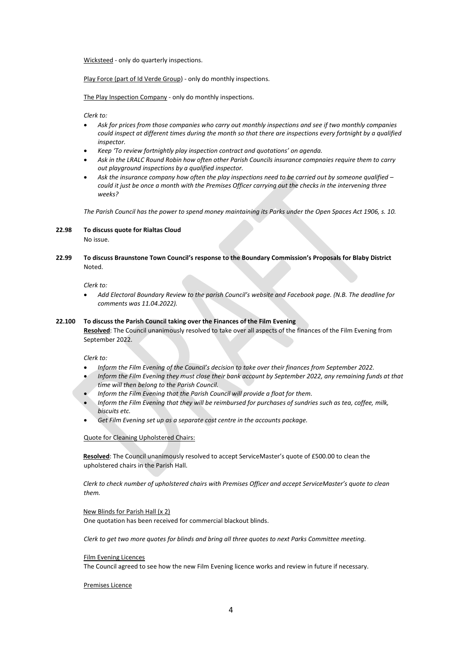Wicksteed - only do quarterly inspections.

Play Force (part of Id Verde Group) - only do monthly inspections.

The Play Inspection Company - only do monthly inspections.

*Clerk to:*

- *Ask for prices from those companies who carry out monthly inspections and see if two monthly companies could inspect at different times during the month so that there are inspections every fortnight by a qualified inspector.*
- *Keep 'To review fortnightly play inspection contract and quotations' on agenda.*
- *Ask in the LRALC Round Robin how often other Parish Councils insurance compnaies require them to carry out playground inspections by a qualified inspector.*
- *Ask the insurance company how often the play inspections need to be carried out by someone qualified – could it just be once a month with the Premises Officer carrying out the checks in the intervening three weeks?*

*The Parish Council has the power to spend money maintaining its Parks under the Open Spaces Act 1906, s. 10.*

## **22.98 To discuss quote for Rialtas Cloud**

No issue.

**22.99 To discuss Braunstone Town Council's response to the Boundary Commission's Proposals for Blaby District**  Noted.

*Clerk to:*

• *Add Electoral Boundary Review to the parish Council's website and Facebook page. (N.B. The deadline for comments was 11.04.2022).*

# **22.100 To discuss the Parish Council taking over the Finances of the Film Evening**

**Resolved**: The Council unanimously resolved to take over all aspects of the finances of the Film Evening from September 2022.

*Clerk to:*

- *Inform the Film Evening of the Council's decision to take over their finances from September 2022.*
- *Inform the Film Evening they must close their bank account by September 2022, any remaining funds at that time will then belong to the Parish Council.*
- *Inform the Film Evening that the Parish Council will provide a float for them.*
- *Inform the Film Evening that they will be reimbursed for purchases of sundries such as tea, coffee, milk, biscuits etc.*
- *Get Film Evening set up as a separate cost centre in the accounts package.*

Quote for Cleaning Upholstered Chairs:

**Resolved**: The Council unanimously resolved to accept ServiceMaster's quote of £500.00 to clean the upholstered chairs in the Parish Hall.

*Clerk to check number of upholstered chairs with Premises Officer and accept ServiceMaster's quote to clean them.*

New Blinds for Parish Hall (x 2)

One quotation has been received for commercial blackout blinds.

*Clerk to get two more quotes for blinds and bring all three quotes to next Parks Committee meeting.*

## Film Evening Licences

The Council agreed to see how the new Film Evening licence works and review in future if necessary.

Premises Licence